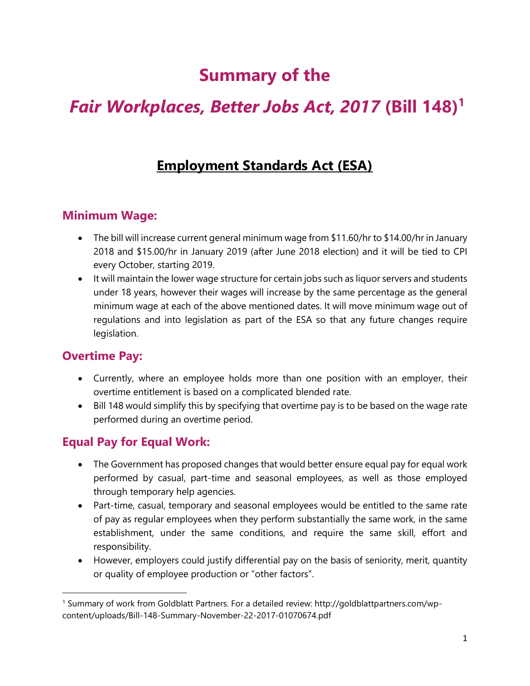# **Summary of the**

# *Fair Workplaces, Better Jobs Act, 2017* **(Bill 148)<sup>1</sup>**

## **Employment Standards Act (ESA)**

#### **Minimum Wage:**

- The bill will increase current general minimum wage from \$11.60/hr to \$14.00/hr in January 2018 and \$15.00/hr in January 2019 (after June 2018 election) and it will be tied to CPI every October, starting 2019.
- It will maintain the lower wage structure for certain jobs such as liquor servers and students under 18 years, however their wages will increase by the same percentage as the general minimum wage at each of the above mentioned dates. It will move minimum wage out of regulations and into legislation as part of the ESA so that any future changes require legislation.

#### **Overtime Pay:**

 $\overline{\phantom{a}}$ 

- Currently, where an employee holds more than one position with an employer, their overtime entitlement is based on a complicated blended rate.
- Bill 148 would simplify this by specifying that overtime pay is to be based on the wage rate performed during an overtime period.

#### **Equal Pay for Equal Work:**

- The Government has proposed changes that would better ensure equal pay for equal work performed by casual, part-time and seasonal employees, as well as those employed through temporary help agencies.
- Part-time, casual, temporary and seasonal employees would be entitled to the same rate of pay as regular employees when they perform substantially the same work, in the same establishment, under the same conditions, and require the same skill, effort and responsibility.
- However, employers could justify differential pay on the basis of seniority, merit, quantity or quality of employee production or "other factors".

<sup>1</sup> Summary of work from Goldblatt Partners. For a detailed review: http://goldblattpartners.com/wpcontent/uploads/Bill-148-Summary-November-22-2017-01070674.pdf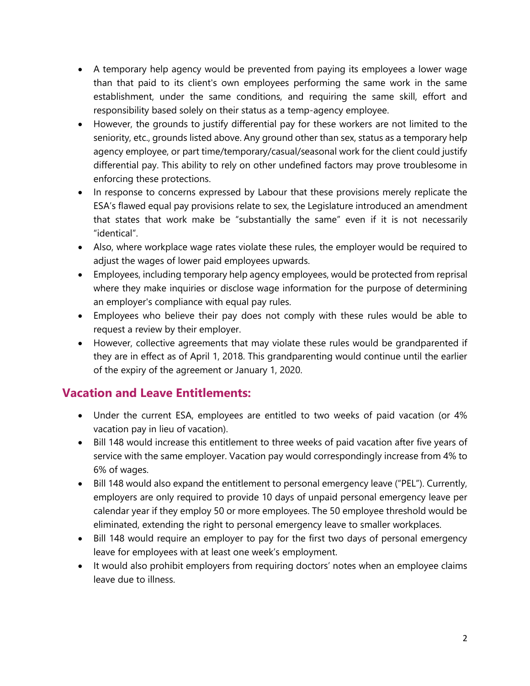- A temporary help agency would be prevented from paying its employees a lower wage than that paid to its client's own employees performing the same work in the same establishment, under the same conditions, and requiring the same skill, effort and responsibility based solely on their status as a temp-agency employee.
- However, the grounds to justify differential pay for these workers are not limited to the seniority, etc., grounds listed above. Any ground other than sex, status as a temporary help agency employee, or part time/temporary/casual/seasonal work for the client could justify differential pay. This ability to rely on other undefined factors may prove troublesome in enforcing these protections.
- In response to concerns expressed by Labour that these provisions merely replicate the ESA's flawed equal pay provisions relate to sex, the Legislature introduced an amendment that states that work make be "substantially the same" even if it is not necessarily "identical".
- Also, where workplace wage rates violate these rules, the employer would be required to adjust the wages of lower paid employees upwards.
- Employees, including temporary help agency employees, would be protected from reprisal where they make inquiries or disclose wage information for the purpose of determining an employer's compliance with equal pay rules.
- Employees who believe their pay does not comply with these rules would be able to request a review by their employer.
- However, collective agreements that may violate these rules would be grandparented if they are in effect as of April 1, 2018. This grandparenting would continue until the earlier of the expiry of the agreement or January 1, 2020.

#### **Vacation and Leave Entitlements:**

- Under the current ESA, employees are entitled to two weeks of paid vacation (or 4% vacation pay in lieu of vacation).
- Bill 148 would increase this entitlement to three weeks of paid vacation after five years of service with the same employer. Vacation pay would correspondingly increase from 4% to 6% of wages.
- Bill 148 would also expand the entitlement to personal emergency leave ("PEL"). Currently, employers are only required to provide 10 days of unpaid personal emergency leave per calendar year if they employ 50 or more employees. The 50 employee threshold would be eliminated, extending the right to personal emergency leave to smaller workplaces.
- Bill 148 would require an employer to pay for the first two days of personal emergency leave for employees with at least one week's employment.
- It would also prohibit employers from requiring doctors' notes when an employee claims leave due to illness.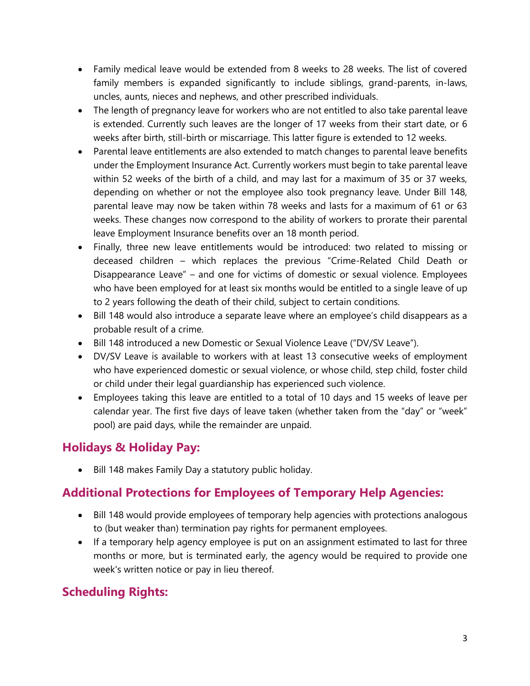- Family medical leave would be extended from 8 weeks to 28 weeks. The list of covered family members is expanded significantly to include siblings, grand-parents, in-laws, uncles, aunts, nieces and nephews, and other prescribed individuals.
- The length of pregnancy leave for workers who are not entitled to also take parental leave is extended. Currently such leaves are the longer of 17 weeks from their start date, or 6 weeks after birth, still-birth or miscarriage. This latter figure is extended to 12 weeks.
- Parental leave entitlements are also extended to match changes to parental leave benefits under the Employment Insurance Act. Currently workers must begin to take parental leave within 52 weeks of the birth of a child, and may last for a maximum of 35 or 37 weeks, depending on whether or not the employee also took pregnancy leave. Under Bill 148, parental leave may now be taken within 78 weeks and lasts for a maximum of 61 or 63 weeks. These changes now correspond to the ability of workers to prorate their parental leave Employment Insurance benefits over an 18 month period.
- Finally, three new leave entitlements would be introduced: two related to missing or deceased children – which replaces the previous "Crime-Related Child Death or Disappearance Leave" – and one for victims of domestic or sexual violence. Employees who have been employed for at least six months would be entitled to a single leave of up to 2 years following the death of their child, subject to certain conditions.
- Bill 148 would also introduce a separate leave where an employee's child disappears as a probable result of a crime.
- Bill 148 introduced a new Domestic or Sexual Violence Leave ("DV/SV Leave").
- DV/SV Leave is available to workers with at least 13 consecutive weeks of employment who have experienced domestic or sexual violence, or whose child, step child, foster child or child under their legal guardianship has experienced such violence.
- Employees taking this leave are entitled to a total of 10 days and 15 weeks of leave per calendar year. The first five days of leave taken (whether taken from the "day" or "week" pool) are paid days, while the remainder are unpaid.

## **Holidays & Holiday Pay:**

• Bill 148 makes Family Day a statutory public holiday.

#### **Additional Protections for Employees of Temporary Help Agencies:**

- Bill 148 would provide employees of temporary help agencies with protections analogous to (but weaker than) termination pay rights for permanent employees.
- If a temporary help agency employee is put on an assignment estimated to last for three months or more, but is terminated early, the agency would be required to provide one week's written notice or pay in lieu thereof.

#### **Scheduling Rights:**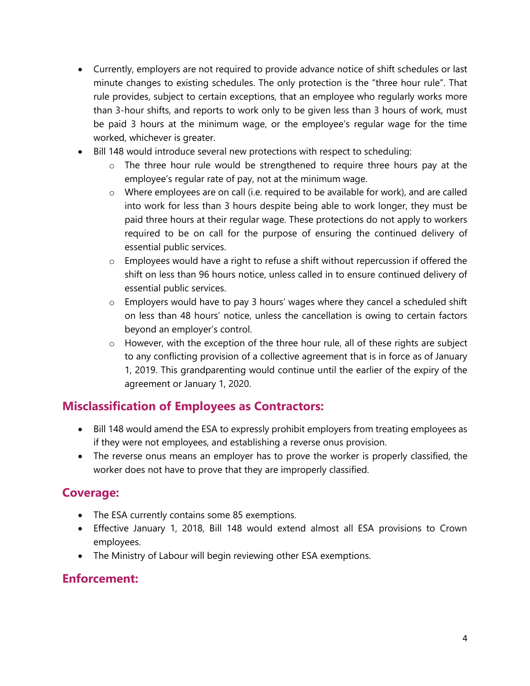- Currently, employers are not required to provide advance notice of shift schedules or last minute changes to existing schedules. The only protection is the "three hour rule". That rule provides, subject to certain exceptions, that an employee who regularly works more than 3-hour shifts, and reports to work only to be given less than 3 hours of work, must be paid 3 hours at the minimum wage, or the employee's regular wage for the time worked, whichever is greater.
- Bill 148 would introduce several new protections with respect to scheduling:
	- o The three hour rule would be strengthened to require three hours pay at the employee's regular rate of pay, not at the minimum wage.
	- $\circ$  Where employees are on call (i.e. required to be available for work), and are called into work for less than 3 hours despite being able to work longer, they must be paid three hours at their regular wage. These protections do not apply to workers required to be on call for the purpose of ensuring the continued delivery of essential public services.
	- $\circ$  Employees would have a right to refuse a shift without repercussion if offered the shift on less than 96 hours notice, unless called in to ensure continued delivery of essential public services.
	- o Employers would have to pay 3 hours' wages where they cancel a scheduled shift on less than 48 hours' notice, unless the cancellation is owing to certain factors beyond an employer's control.
	- o However, with the exception of the three hour rule, all of these rights are subject to any conflicting provision of a collective agreement that is in force as of January 1, 2019. This grandparenting would continue until the earlier of the expiry of the agreement or January 1, 2020.

#### **Misclassification of Employees as Contractors:**

- Bill 148 would amend the ESA to expressly prohibit employers from treating employees as if they were not employees, and establishing a reverse onus provision.
- The reverse onus means an employer has to prove the worker is properly classified, the worker does not have to prove that they are improperly classified.

#### **Coverage:**

- The ESA currently contains some 85 exemptions.
- Effective January 1, 2018, Bill 148 would extend almost all ESA provisions to Crown employees.
- The Ministry of Labour will begin reviewing other ESA exemptions.

#### **Enforcement:**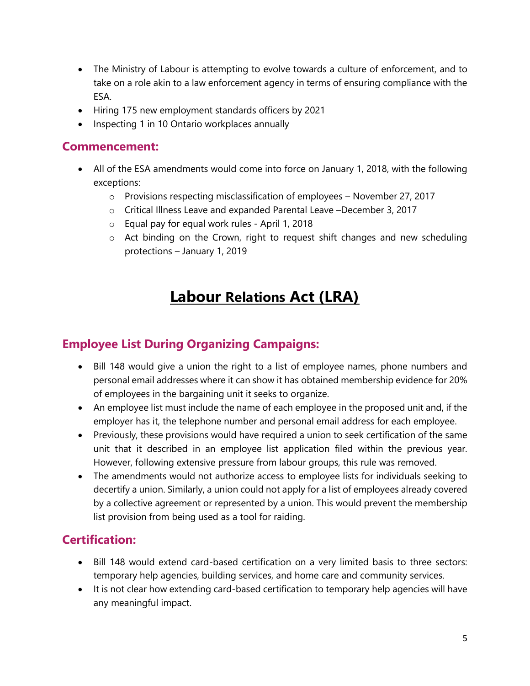- The Ministry of Labour is attempting to evolve towards a culture of enforcement, and to take on a role akin to a law enforcement agency in terms of ensuring compliance with the ESA.
- Hiring 175 new employment standards officers by 2021
- Inspecting 1 in 10 Ontario workplaces annually

#### **Commencement:**

- All of the ESA amendments would come into force on January 1, 2018, with the following exceptions:
	- $\circ$  Provisions respecting misclassification of employees November 27, 2017
	- o Critical Illness Leave and expanded Parental Leave –December 3, 2017
	- o Equal pay for equal work rules April 1, 2018
	- o Act binding on the Crown, right to request shift changes and new scheduling protections – January 1, 2019

## **Labour Relations Act (LRA)**

## **Employee List During Organizing Campaigns:**

- Bill 148 would give a union the right to a list of employee names, phone numbers and personal email addresses where it can show it has obtained membership evidence for 20% of employees in the bargaining unit it seeks to organize.
- An employee list must include the name of each employee in the proposed unit and, if the employer has it, the telephone number and personal email address for each employee.
- Previously, these provisions would have required a union to seek certification of the same unit that it described in an employee list application filed within the previous year. However, following extensive pressure from labour groups, this rule was removed.
- The amendments would not authorize access to employee lists for individuals seeking to decertify a union. Similarly, a union could not apply for a list of employees already covered by a collective agreement or represented by a union. This would prevent the membership list provision from being used as a tool for raiding.

#### **Certification:**

- Bill 148 would extend card-based certification on a very limited basis to three sectors: temporary help agencies, building services, and home care and community services.
- It is not clear how extending card-based certification to temporary help agencies will have any meaningful impact.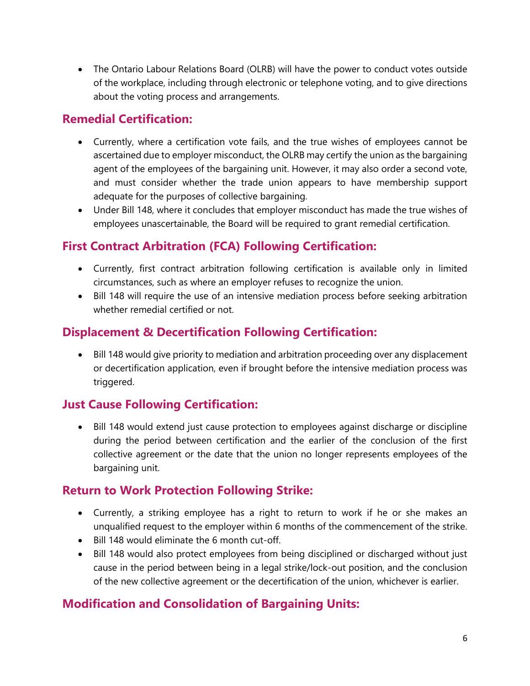• The Ontario Labour Relations Board (OLRB) will have the power to conduct votes outside of the workplace, including through electronic or telephone voting, and to give directions about the voting process and arrangements.

## **Remedial Certification:**

- Currently, where a certification vote fails, and the true wishes of employees cannot be ascertained due to employer misconduct, the OLRB may certify the union as the bargaining agent of the employees of the bargaining unit. However, it may also order a second vote, and must consider whether the trade union appears to have membership support adequate for the purposes of collective bargaining.
- Under Bill 148, where it concludes that employer misconduct has made the true wishes of employees unascertainable, the Board will be required to grant remedial certification.

## **First Contract Arbitration (FCA) Following Certification:**

- Currently, first contract arbitration following certification is available only in limited circumstances, such as where an employer refuses to recognize the union.
- Bill 148 will require the use of an intensive mediation process before seeking arbitration whether remedial certified or not.

#### **Displacement & Decertification Following Certification:**

• Bill 148 would give priority to mediation and arbitration proceeding over any displacement or decertification application, even if brought before the intensive mediation process was triggered.

#### **Just Cause Following Certification:**

• Bill 148 would extend just cause protection to employees against discharge or discipline during the period between certification and the earlier of the conclusion of the first collective agreement or the date that the union no longer represents employees of the bargaining unit.

#### **Return to Work Protection Following Strike:**

- Currently, a striking employee has a right to return to work if he or she makes an unqualified request to the employer within 6 months of the commencement of the strike.
- Bill 148 would eliminate the 6 month cut-off.
- Bill 148 would also protect employees from being disciplined or discharged without just cause in the period between being in a legal strike/lock-out position, and the conclusion of the new collective agreement or the decertification of the union, whichever is earlier.

#### **Modification and Consolidation of Bargaining Units:**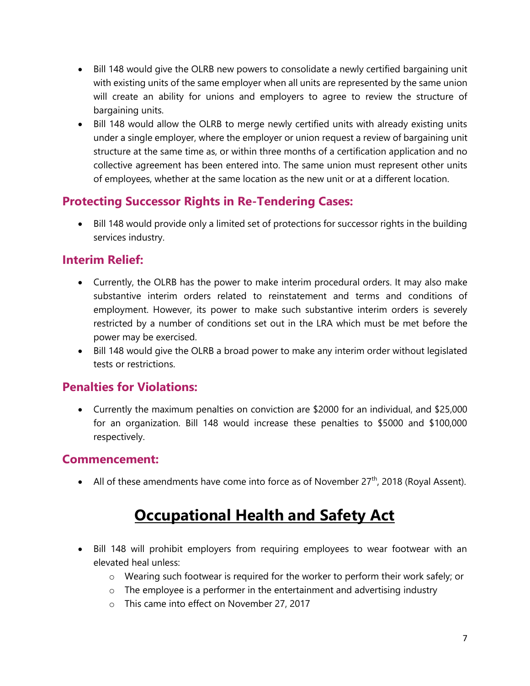- Bill 148 would give the OLRB new powers to consolidate a newly certified bargaining unit with existing units of the same employer when all units are represented by the same union will create an ability for unions and employers to agree to review the structure of bargaining units.
- Bill 148 would allow the OLRB to merge newly certified units with already existing units under a single employer, where the employer or union request a review of bargaining unit structure at the same time as, or within three months of a certification application and no collective agreement has been entered into. The same union must represent other units of employees, whether at the same location as the new unit or at a different location.

#### **Protecting Successor Rights in Re-Tendering Cases:**

• Bill 148 would provide only a limited set of protections for successor rights in the building services industry.

#### **Interim Relief:**

- Currently, the OLRB has the power to make interim procedural orders. It may also make substantive interim orders related to reinstatement and terms and conditions of employment. However, its power to make such substantive interim orders is severely restricted by a number of conditions set out in the LRA which must be met before the power may be exercised.
- Bill 148 would give the OLRB a broad power to make any interim order without legislated tests or restrictions.

#### **Penalties for Violations:**

• Currently the maximum penalties on conviction are \$2000 for an individual, and \$25,000 for an organization. Bill 148 would increase these penalties to \$5000 and \$100,000 respectively.

#### **Commencement:**

• All of these amendments have come into force as of November  $27<sup>th</sup>$ , 2018 (Royal Assent).

# **Occupational Health and Safety Act**

- Bill 148 will prohibit employers from requiring employees to wear footwear with an elevated heal unless:
	- o Wearing such footwear is required for the worker to perform their work safely; or
	- $\circ$  The employee is a performer in the entertainment and advertising industry
	- o This came into effect on November 27, 2017